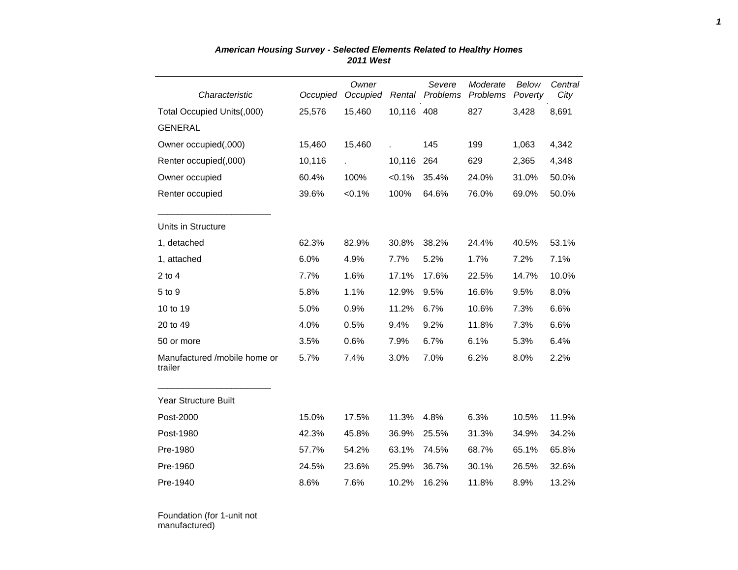|                                         |          | Owner                |                 | Severe   | Moderate | Below   | Central |
|-----------------------------------------|----------|----------------------|-----------------|----------|----------|---------|---------|
| Characteristic                          | Occupied | Occupied             | Rental          | Problems | Problems | Poverty | City    |
| Total Occupied Units(,000)              | 25,576   | 15,460<br>10,116 408 |                 |          | 827      | 3,428   | 8,691   |
| <b>GENERAL</b>                          |          |                      |                 |          |          |         |         |
| Owner occupied(,000)                    | 15,460   | 15,460               |                 | 145      | 199      | 1,063   | 4,342   |
| Renter occupied(,000)                   | 10,116   |                      | 10,116          | 264      | 629      | 2,365   | 4,348   |
| Owner occupied                          | 60.4%    | 100%                 | < 0.1%<br>35.4% |          | 24.0%    | 31.0%   | 50.0%   |
| Renter occupied                         | 39.6%    | $< 0.1\%$            | 100%<br>64.6%   |          | 76.0%    | 69.0%   | 50.0%   |
| Units in Structure                      |          |                      |                 |          |          |         |         |
| 1, detached                             | 62.3%    | 82.9%                | 30.8%           | 38.2%    | 24.4%    | 40.5%   | 53.1%   |
| 1, attached                             | 6.0%     | 4.9%                 | 7.7%            | 5.2%     | 1.7%     | 7.2%    | 7.1%    |
| $2$ to $4$                              | 7.7%     | 1.6%                 | 17.1%           | 17.6%    | 22.5%    | 14.7%   | 10.0%   |
| 5 to 9                                  | 5.8%     | 1.1%                 | 12.9%           | 9.5%     | 16.6%    | 9.5%    | 8.0%    |
| 10 to 19                                | 5.0%     | 0.9%                 | 11.2%           | 6.7%     | 10.6%    | 7.3%    | 6.6%    |
| 20 to 49                                | 4.0%     | 0.5%                 | 9.4%            | 9.2%     | 11.8%    | 7.3%    | 6.6%    |
| 50 or more                              | 3.5%     | 0.6%                 | 7.9%            | 6.7%     | 6.1%     | 5.3%    | 6.4%    |
| Manufactured /mobile home or<br>trailer | 5.7%     | 7.4%                 | 3.0%            | 7.0%     | 6.2%     | 8.0%    | 2.2%    |
| Year Structure Built                    |          |                      |                 |          |          |         |         |
| Post-2000                               | 15.0%    | 17.5%                | 11.3%           | 4.8%     | 6.3%     | 10.5%   | 11.9%   |
| Post-1980                               | 42.3%    | 45.8%                | 36.9%           | 25.5%    | 31.3%    | 34.9%   | 34.2%   |
| Pre-1980                                | 57.7%    | 54.2%                | 63.1%           | 74.5%    | 68.7%    | 65.1%   | 65.8%   |
| Pre-1960                                | 24.5%    | 23.6%                | 25.9%           | 36.7%    | 30.1%    | 26.5%   | 32.6%   |
| Pre-1940                                | 8.6%     | 7.6%                 | 10.2%           | 16.2%    | 11.8%    | 8.9%    | 13.2%   |

## *American Housing Survey - Selected Elements Related to Healthy Homes 2011 West*

Foundation (for 1-unit not manufactured)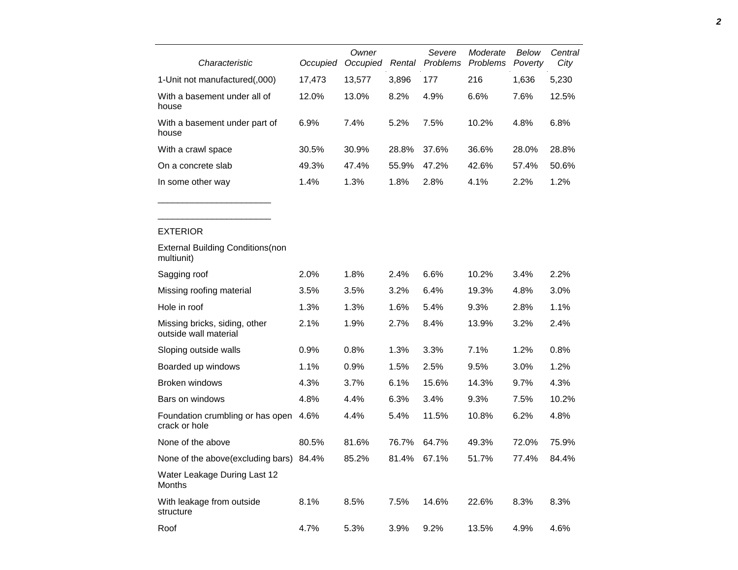| Characteristic                                         | Occupied | Owner<br>Occupied | Rental | Severe<br>Problems | Moderate<br><b>Problems</b> | Below<br>Poverty | Central<br>City |
|--------------------------------------------------------|----------|-------------------|--------|--------------------|-----------------------------|------------------|-----------------|
| 1-Unit not manufactured(,000)                          | 17,473   | 13,577            | 3,896  | 177                | 216                         | 1,636            | 5,230           |
| With a basement under all of<br>house                  | 12.0%    | 13.0%             | 8.2%   | 4.9%               | 6.6%                        | 7.6%             | 12.5%           |
| With a basement under part of<br>house                 | 6.9%     | 7.4%              | 5.2%   | 7.5%               | 10.2%                       | 4.8%             | 6.8%            |
| With a crawl space                                     | 30.5%    | 30.9%             | 28.8%  | 37.6%              | 36.6%                       | 28.0%            | 28.8%           |
| On a concrete slab                                     | 49.3%    | 47.4%             | 55.9%  | 47.2%              | 42.6%                       | 57.4%            | 50.6%           |
| In some other way                                      | 1.4%     | 1.3%              | 1.8%   | 2.8%               | 4.1%                        | 2.2%             | 1.2%            |
|                                                        |          |                   |        |                    |                             |                  |                 |
| <b>EXTERIOR</b>                                        |          |                   |        |                    |                             |                  |                 |
| <b>External Building Conditions (non</b><br>multiunit) |          |                   |        |                    |                             |                  |                 |
| Sagging roof                                           | 2.0%     | 1.8%              | 2.4%   | 6.6%               | 10.2%                       | 3.4%             | 2.2%            |
| Missing roofing material                               | 3.5%     | 3.5%              | 3.2%   | 6.4%               | 19.3%                       | 4.8%             | 3.0%            |
| Hole in roof                                           | 1.3%     | 1.3%              | 1.6%   | 5.4%               | 9.3%                        | 2.8%             | 1.1%            |
| Missing bricks, siding, other<br>outside wall material | 2.1%     | 1.9%              | 2.7%   | 8.4%               | 13.9%                       | 3.2%             | 2.4%            |
| Sloping outside walls                                  | 0.9%     | 0.8%              | 1.3%   | 3.3%               | 7.1%                        | 1.2%             | 0.8%            |
| Boarded up windows                                     | 1.1%     | 0.9%              | 1.5%   | 2.5%               | 9.5%                        | 3.0%             | 1.2%            |
| Broken windows                                         | 4.3%     | 3.7%              | 6.1%   | 15.6%              | 14.3%                       | 9.7%             | 4.3%            |
| Bars on windows                                        | 4.8%     | 4.4%              | 6.3%   | 3.4%               | 9.3%                        | 7.5%             | 10.2%           |
| Foundation crumbling or has open<br>crack or hole      | 4.6%     | 4.4%              | 5.4%   | 11.5%              | 10.8%                       | 6.2%             | 4.8%            |
| None of the above                                      | 80.5%    | 81.6%             | 76.7%  | 64.7%              | 49.3%                       | 72.0%            | 75.9%           |
| None of the above(excluding bars) 84.4%                |          | 85.2%             | 81.4%  | 67.1%              | 51.7%                       | 77.4%            | 84.4%           |
| Water Leakage During Last 12<br>Months                 |          |                   |        |                    |                             |                  |                 |
| With leakage from outside                              | 8.1%     | 8.5%              | 7.5%   | 14.6%              | 22.6%                       | 8.3%             | 8.3%            |

Roof 4.7% 5.3% 3.9% 9.2% 13.5% 4.9% 4.6%

structure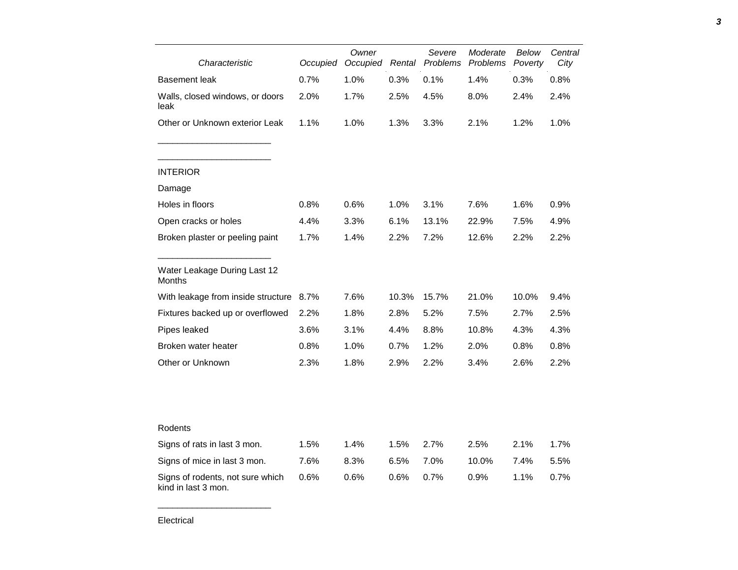| Characteristic                                          | Occupied | Owner<br>Occupied | Rental               | Severe<br>Problems | Moderate<br>Problems | Below<br>Poverty | Central<br>City |
|---------------------------------------------------------|----------|-------------------|----------------------|--------------------|----------------------|------------------|-----------------|
| Basement leak                                           | 0.7%     | 1.0%              | 0.3%<br>0.1%<br>1.4% |                    |                      | 0.3%             | 0.8%            |
| Walls, closed windows, or doors<br>leak                 | 2.0%     | 1.7%              | 2.5%                 | 4.5%<br>8.0%       |                      | 2.4%             | 2.4%            |
| Other or Unknown exterior Leak                          | 1.1%     | 1.0%              | 1.3%                 | 3.3%               | 2.1%                 | 1.2%             | 1.0%            |
| <b>INTERIOR</b>                                         |          |                   |                      |                    |                      |                  |                 |
| Damage                                                  |          |                   |                      |                    |                      |                  |                 |
| Holes in floors                                         | 0.8%     | 0.6%              | 1.0%                 | 3.1%               | 7.6%                 | 1.6%             | 0.9%            |
| Open cracks or holes                                    | 4.4%     | 3.3%              | 6.1%                 | 13.1%              | 22.9%                | 7.5%             | 4.9%            |
| Broken plaster or peeling paint                         | 1.7%     | 1.4%              | 2.2%                 | 7.2%               | 12.6%                | 2.2%             | 2.2%            |
| Water Leakage During Last 12<br>Months                  |          |                   |                      |                    |                      |                  |                 |
| With leakage from inside structure                      | 8.7%     | 7.6%              | 10.3%                | 15.7%              | 21.0%                | 10.0%            | 9.4%            |
| Fixtures backed up or overflowed                        | 2.2%     | 1.8%              | 2.8%                 | 5.2%               | 7.5%                 | 2.7%             | 2.5%            |
| Pipes leaked                                            | 3.6%     | 3.1%              | 4.4%                 | 8.8%               | 10.8%                | 4.3%             | 4.3%            |
| Broken water heater                                     | 0.8%     | 1.0%              | 0.7%                 | 1.2%               | 2.0%                 | 0.8%             | 0.8%            |
| Other or Unknown                                        | 2.3%     | 1.8%              | 2.9%                 | 2.2%               | 3.4%                 | 2.6%             | 2.2%            |
|                                                         |          |                   |                      |                    |                      |                  |                 |
| Rodents                                                 |          |                   |                      |                    |                      |                  |                 |
| Signs of rats in last 3 mon.                            | 1.5%     | 1.4%              | 1.5%                 | 2.7%               | 2.5%                 | 2.1%             | 1.7%            |
| Signs of mice in last 3 mon.                            | 7.6%     | 8.3%              | 6.5%                 | 7.0%               | 10.0%                | 7.4%             | 5.5%            |
| Signs of rodents, not sure which<br>kind in last 3 mon. | 0.6%     | 0.6%              | 0.6%                 | 0.7%               | 0.9%                 | 1.1%             | 0.7%            |

*3*

\_\_\_\_\_\_\_\_\_\_\_\_\_\_\_\_\_\_\_\_\_\_\_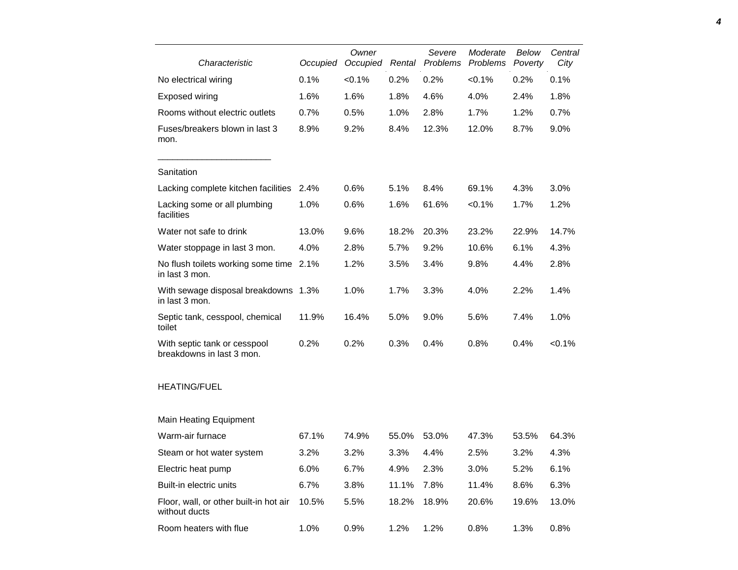| Characteristic                                            | Occupied | Owner<br>Occupied | Severe<br>Problems<br>Rental |       | Moderate<br>Problems | Below<br>Poverty | Central<br>City |
|-----------------------------------------------------------|----------|-------------------|------------------------------|-------|----------------------|------------------|-----------------|
| No electrical wiring                                      | 0.1%     | $< 0.1\%$         | 0.2%                         | 0.2%  | $< 0.1\%$            | 0.2%             | 0.1%            |
| Exposed wiring                                            | 1.6%     | 1.6%              | 1.8%                         | 4.6%  | 4.0%                 | 2.4%             | 1.8%            |
| Rooms without electric outlets                            | 0.7%     | 0.5%              | 1.0%                         | 2.8%  | 1.7%                 | 1.2%             | 0.7%            |
| Fuses/breakers blown in last 3<br>mon.                    | 8.9%     | 9.2%              | 8.4%                         | 12.3% | 12.0%                | 8.7%             | 9.0%            |
| Sanitation                                                |          |                   |                              |       |                      |                  |                 |
| Lacking complete kitchen facilities                       | 2.4%     | 0.6%              | 5.1%                         | 8.4%  | 69.1%                | 4.3%             | 3.0%            |
| Lacking some or all plumbing<br>facilities                | 1.0%     | 0.6%              | 1.6%                         | 61.6% | < 0.1%               | 1.7%             | 1.2%            |
| Water not safe to drink                                   | 13.0%    | 9.6%              | 18.2%                        | 20.3% | 23.2%                | 22.9%            | 14.7%           |
| Water stoppage in last 3 mon.                             | 4.0%     | 2.8%              | 5.7%                         | 9.2%  | 10.6%                | 6.1%             | 4.3%            |
| No flush toilets working some time<br>in last 3 mon.      | 2.1%     | 1.2%              | 3.5%                         | 3.4%  | 9.8%                 | 4.4%             | 2.8%            |
| With sewage disposal breakdowns 1.3%<br>in last 3 mon.    |          | 1.0%              | 1.7%                         | 3.3%  | 4.0%                 | 2.2%             | 1.4%            |
| Septic tank, cesspool, chemical<br>toilet                 | 11.9%    | 16.4%             | 5.0%                         | 9.0%  | 5.6%                 | 7.4%             | 1.0%            |
| With septic tank or cesspool<br>breakdowns in last 3 mon. | 0.2%     | 0.2%              | 0.3%                         | 0.4%  | 0.8%                 | 0.4%             | < 0.1%          |
| <b>HEATING/FUEL</b>                                       |          |                   |                              |       |                      |                  |                 |
| <b>Main Heating Equipment</b>                             |          |                   |                              |       |                      |                  |                 |
| Warm-air furnace                                          | 67.1%    | 74.9%             | 55.0%                        | 53.0% | 47.3%                | 53.5%            | 64.3%           |
| Steam or hot water system                                 | 3.2%     | 3.2%              | 3.3%                         | 4.4%  | 2.5%                 | 3.2%             | 4.3%            |
| Electric heat pump                                        | 6.0%     | 6.7%              | 4.9%                         | 2.3%  | 3.0%                 | 5.2%             | 6.1%            |
| Built-in electric units                                   | 6.7%     | 3.8%              | 11.1%                        | 7.8%  | 11.4%                | 8.6%             | 6.3%            |
| Floor, wall, or other built-in hot air<br>without ducts   | 10.5%    | 5.5%              | 18.2%                        | 18.9% | 20.6%                | 19.6%            | 13.0%           |
| Room heaters with flue                                    | 1.0%     | 0.9%              | 1.2%                         | 1.2%  | 0.8%                 | 1.3%             | 0.8%            |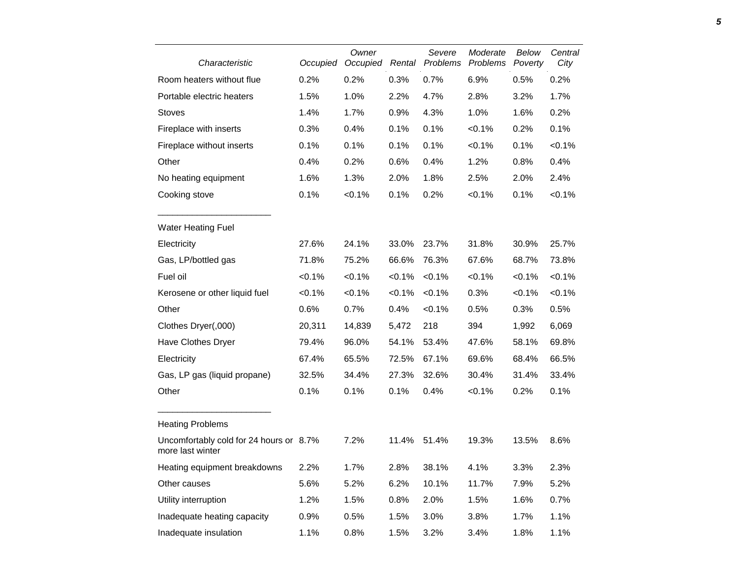| Characteristic                                              | Occupied | Owner<br>Occupied | Rental    | Severe<br>Problems | Moderate<br>Problems | Below<br>Poverty | Central<br>City |
|-------------------------------------------------------------|----------|-------------------|-----------|--------------------|----------------------|------------------|-----------------|
| Room heaters without flue                                   | 0.2%     | 0.2%              | 0.3%      | 0.7%               | 6.9%                 | 0.5%             | 0.2%            |
| Portable electric heaters                                   | 1.5%     | 1.0%              | 2.2%      | 4.7%               | 2.8%                 | 3.2%             | 1.7%            |
| <b>Stoves</b>                                               | 1.4%     | 1.7%              | 0.9%      | 4.3%               | 1.0%                 | 1.6%             | 0.2%            |
| Fireplace with inserts                                      | 0.3%     | 0.4%              | 0.1%      | 0.1%               | < 0.1%               | 0.2%             | 0.1%            |
| Fireplace without inserts                                   | 0.1%     | 0.1%              | 0.1%      | 0.1%               | < 0.1%               | 0.1%             | $< 0.1\%$       |
| Other                                                       | 0.4%     | 0.2%              | 0.6%      | 0.4%               | 1.2%                 | 0.8%             | 0.4%            |
| No heating equipment                                        | 1.6%     | 1.3%              | 2.0%      | 1.8%               | 2.5%                 | 2.0%             | 2.4%            |
| Cooking stove                                               | 0.1%     | < 0.1%            | 0.1%      | 0.2%               | $< 0.1\%$            | 0.1%             | $< 0.1\%$       |
| <b>Water Heating Fuel</b>                                   |          |                   |           |                    |                      |                  |                 |
| Electricity                                                 | 27.6%    | 24.1%             | 33.0%     | 23.7%              | 31.8%                | 30.9%            | 25.7%           |
| Gas, LP/bottled gas                                         | 71.8%    | 75.2%             | 66.6%     | 76.3%              | 67.6%                | 68.7%            | 73.8%           |
| Fuel oil                                                    | < 0.1%   | $< 0.1\%$         | $< 0.1\%$ | < 0.1%             | < 0.1%               | < 0.1%           | $< 0.1\%$       |
| Kerosene or other liquid fuel                               | < 0.1%   | < 0.1%            | $< 0.1\%$ | < 0.1%             | 0.3%                 | $< 0.1\%$        | < 0.1%          |
| Other                                                       | 0.6%     | 0.7%              | 0.4%      | < 0.1%             | 0.5%                 | 0.3%             | 0.5%            |
| Clothes Dryer(,000)                                         | 20,311   | 14,839            | 5,472     | 218                | 394                  | 1,992            | 6,069           |
| Have Clothes Dryer                                          | 79.4%    | 96.0%             | 54.1%     | 53.4%              | 47.6%                | 58.1%            | 69.8%           |
| Electricity                                                 | 67.4%    | 65.5%             | 72.5%     | 67.1%              | 69.6%                | 68.4%            | 66.5%           |
| Gas, LP gas (liquid propane)                                | 32.5%    | 34.4%             | 27.3%     | 32.6%              | 30.4%                | 31.4%            | 33.4%           |
| Other                                                       | 0.1%     | 0.1%              | 0.1%      | 0.4%               | < 0.1%               | 0.2%             | 0.1%            |
| <b>Heating Problems</b>                                     |          |                   |           |                    |                      |                  |                 |
| Uncomfortably cold for 24 hours or 8.7%<br>more last winter |          | 7.2%              | 11.4%     | 51.4%              | 19.3%                | 13.5%            | 8.6%            |
| Heating equipment breakdowns                                | 2.2%     | 1.7%              | 2.8%      | 38.1%              | 4.1%                 | 3.3%             | 2.3%            |
| Other causes                                                | 5.6%     | 5.2%              | 6.2%      | 10.1%              | 11.7%                | 7.9%             | 5.2%            |
| Utility interruption                                        | 1.2%     | 1.5%              | 0.8%      | 2.0%               | 1.5%                 | 1.6%             | 0.7%            |
| Inadequate heating capacity                                 | 0.9%     | 0.5%              | 1.5%      | 3.0%               | 3.8%                 | 1.7%             | 1.1%            |
| Inadequate insulation                                       | 1.1%     | 0.8%              | 1.5%      | 3.2%               | 3.4%                 | 1.8%             | 1.1%            |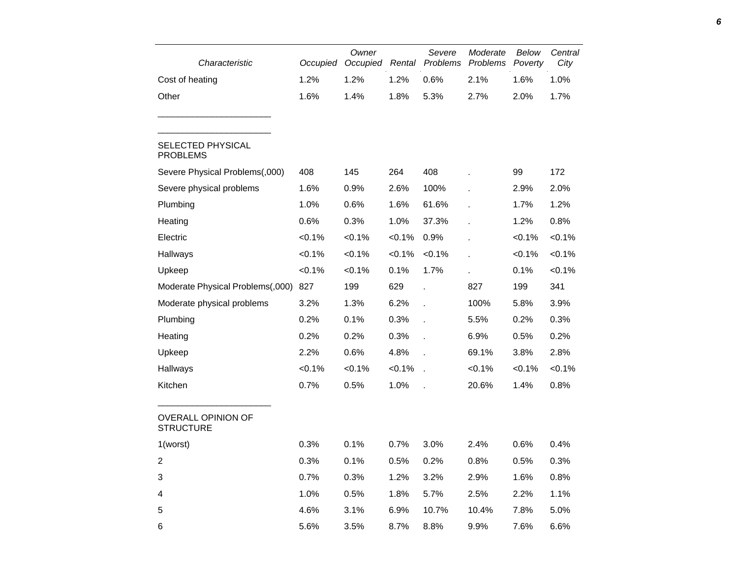| Characteristic                                | Occupied  | Owner<br>Occupied | Rental    | Severe       | Moderate<br>Problems Problems | Below<br>Poverty | Central<br>City |
|-----------------------------------------------|-----------|-------------------|-----------|--------------|-------------------------------|------------------|-----------------|
| Cost of heating                               | 1.2%      | 1.2%              | 1.2%      | 0.6%         | 2.1%                          | 1.6%             | 1.0%            |
| Other                                         | 1.6%      | 1.4%              | 1.8%      | 5.3%         | 2.7%                          | 2.0%             | 1.7%            |
| <b>SELECTED PHYSICAL</b><br><b>PROBLEMS</b>   |           |                   |           |              |                               |                  |                 |
| Severe Physical Problems(,000)                | 408       | 145               | 264       | 408          |                               | 99               | 172             |
| Severe physical problems                      | 1.6%      | 0.9%              | 2.6%      | 100%         |                               | 2.9%             | 2.0%            |
| Plumbing                                      | 1.0%      | 0.6%              | 1.6%      | 61.6%        |                               | 1.7%             | 1.2%            |
| Heating                                       | 0.6%      | 0.3%              | 1.0%      | 37.3%        |                               | 1.2%             | 0.8%            |
| Electric                                      | $< 0.1\%$ | $< 0.1\%$         | $< 0.1\%$ | 0.9%         |                               | $< 0.1\%$        | $< 0.1\%$       |
| Hallways                                      | $< 0.1\%$ | $< 0.1\%$         | $< 0.1\%$ | $< 0.1\%$    | ÷.                            | $< 0.1\%$        | $< 0.1\%$       |
| Upkeep                                        | $< 0.1\%$ | $< 0.1\%$         | 0.1%      | 1.7%         |                               | 0.1%             | $< 0.1\%$       |
| Moderate Physical Problems(,000)              | 827       | 199               | 629       | l.           | 827                           | 199              | 341             |
| Moderate physical problems                    | 3.2%      | 1.3%              | 6.2%      | l.           | 100%                          | 5.8%             | 3.9%            |
| Plumbing                                      | 0.2%      | 0.1%              | 0.3%      |              | 5.5%                          | 0.2%             | 0.3%            |
| Heating                                       | 0.2%      | 0.2%              | 0.3%      |              | 6.9%                          | 0.5%             | 0.2%            |
| Upkeep                                        | 2.2%      | 0.6%              | 4.8%      |              | 69.1%                         | 3.8%             | 2.8%            |
| Hallways                                      | $< 0.1\%$ | $< 0.1\%$         | $< 0.1\%$ | $\mathbf{r}$ | $< 0.1\%$                     | $< 0.1\%$        | $< 0.1\%$       |
| Kitchen                                       | 0.7%      | 0.5%              | 1.0%      |              | 20.6%                         | 1.4%             | 0.8%            |
| <b>OVERALL OPINION OF</b><br><b>STRUCTURE</b> |           |                   |           |              |                               |                  |                 |
| 1(worst)                                      | 0.3%      | 0.1%              | 0.7%      | 3.0%         | 2.4%                          | 0.6%             | 0.4%            |
| $\overline{c}$                                | 0.3%      | 0.1%              | 0.5%      | 0.2%         | 0.8%                          | 0.5%             | 0.3%            |
| 3                                             | 0.7%      | 0.3%              | 1.2%      | 3.2%         | 2.9%                          | 1.6%             | 0.8%            |
| 4                                             | 1.0%      | 0.5%              | 1.8%      | 5.7%         | 2.5%                          | 2.2%             | 1.1%            |
| 5                                             | 4.6%      | 3.1%              | 6.9%      | 10.7%        | 10.4%                         | 7.8%             | 5.0%            |
| 6                                             | 5.6%      | 3.5%              | 8.7%      | 8.8%         | 9.9%                          | 7.6%             | 6.6%            |